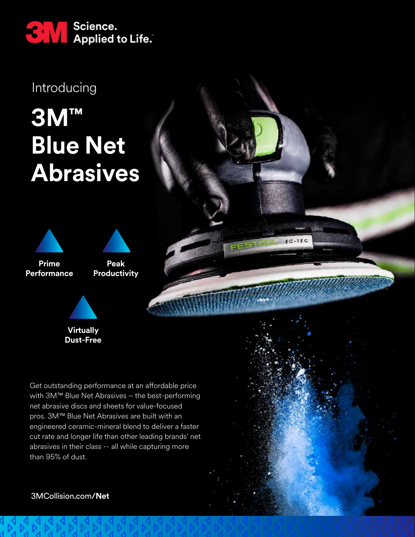

Introducing

## **3M™ Blue Net Abrasives**





Get outstanding performance at an affordable price with 3M™ Blue Net Abrasives – the best-performing net abrasive discs and sheets for value-focused pros. 3M™ Blue Net Abrasives are built with an engineered ceramic-mineral blend to deliver a faster cut rate and longer life than other leading brands' net abrasives in their class -- all while capturing more than 95% of dust.



3MCollision.com**/Net**